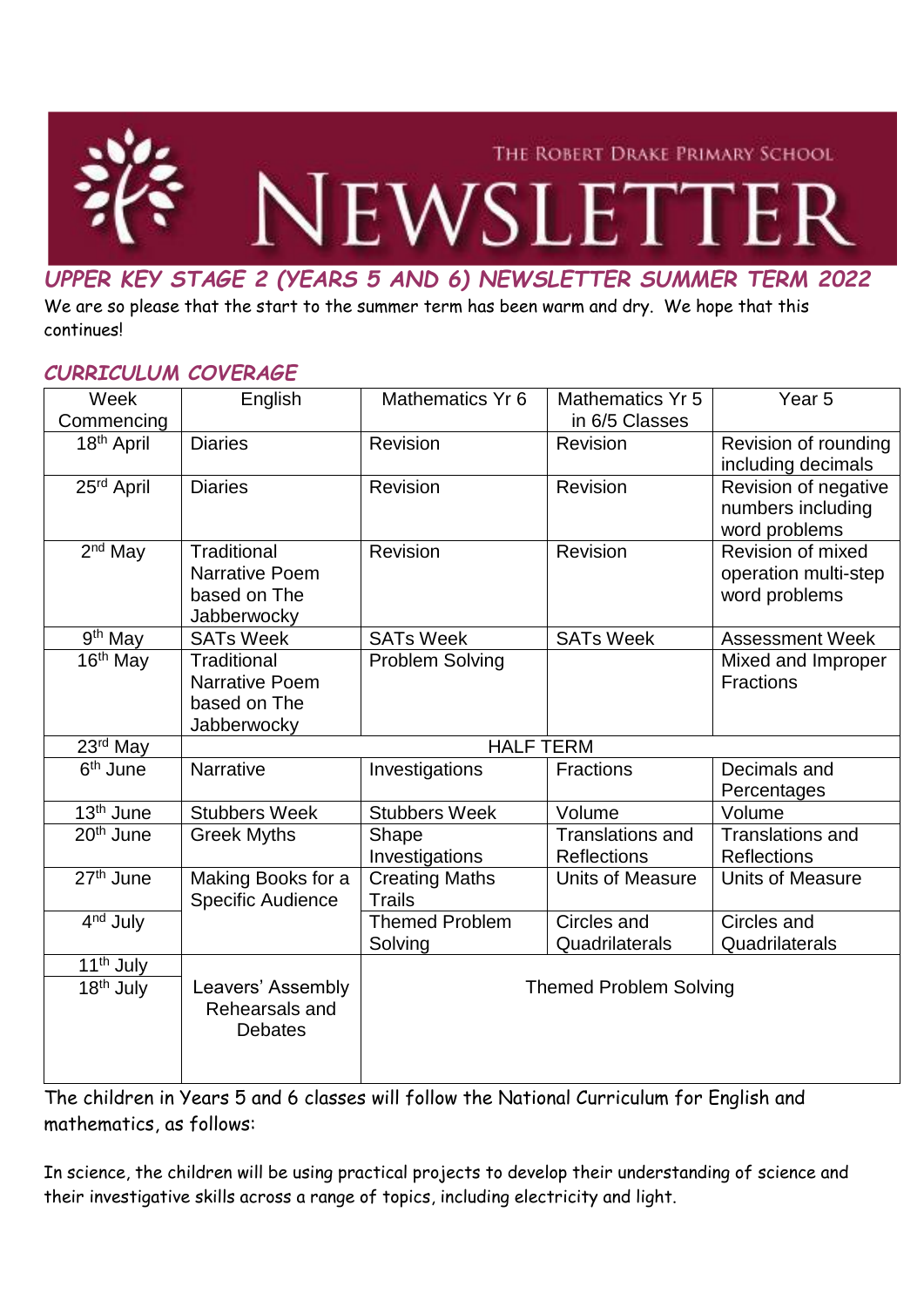

# *UPPER KEY STAGE 2 (YEARS 5 AND 6) NEWSLETTER SUMMER TERM 2022*

We are so please that the start to the summer term has been warm and dry. We hope that this continues!

#### *CURRICULUM COVERAGE*

| Week                                           | English                                                             | Mathematics Yr 6                       | <b>Mathematics Yr 5</b>                       | Year <sub>5</sub>                                          |
|------------------------------------------------|---------------------------------------------------------------------|----------------------------------------|-----------------------------------------------|------------------------------------------------------------|
| Commencing                                     |                                                                     |                                        | in 6/5 Classes                                |                                                            |
| 18 <sup>th</sup> April                         | <b>Diaries</b>                                                      | <b>Revision</b>                        | Revision                                      | Revision of rounding<br>including decimals                 |
| 25rd April                                     | <b>Diaries</b>                                                      | Revision                               | Revision                                      | Revision of negative<br>numbers including<br>word problems |
| $2nd$ May                                      | Traditional<br><b>Narrative Poem</b><br>based on The<br>Jabberwocky | Revision                               | Revision                                      | Revision of mixed<br>operation multi-step<br>word problems |
| 9 <sup>th</sup> May                            | <b>SATs Week</b>                                                    | <b>SATs Week</b>                       | <b>SATs Week</b>                              | <b>Assessment Week</b>                                     |
| 16 <sup>th</sup> May                           | Traditional<br>Narrative Poem<br>based on The<br>Jabberwocky        | <b>Problem Solving</b>                 |                                               | Mixed and Improper<br><b>Fractions</b>                     |
| 23 <sup>rd</sup> May                           | <b>HALF TERM</b>                                                    |                                        |                                               |                                                            |
| $\overline{6}$ <sup>th</sup> June              | Narrative                                                           | Investigations                         | Fractions                                     | Decimals and<br>Percentages                                |
| 13 <sup>th</sup> June                          | <b>Stubbers Week</b>                                                | <b>Stubbers Week</b>                   | Volume                                        | Volume                                                     |
| 20 <sup>th</sup> June                          | <b>Greek Myths</b>                                                  | Shape<br>Investigations                | <b>Translations and</b><br><b>Reflections</b> | <b>Translations and</b><br><b>Reflections</b>              |
| 27 <sup>th</sup> June                          | Making Books for a<br>Specific Audience                             | <b>Creating Maths</b><br><b>Trails</b> | <b>Units of Measure</b>                       | <b>Units of Measure</b>                                    |
| 4 <sup>nd</sup> July                           |                                                                     | <b>Themed Problem</b><br>Solving       | Circles and<br>Quadrilaterals                 | Circles and<br>Quadrilaterals                              |
| 11 <sup>th</sup> July<br>18 <sup>th</sup> July | Leavers' Assembly<br>Rehearsals and<br><b>Debates</b>               | <b>Themed Problem Solving</b>          |                                               |                                                            |

The children in Years 5 and 6 classes will follow the National Curriculum for English and mathematics, as follows:

In science, the children will be using practical projects to develop their understanding of science and their investigative skills across a range of topics, including electricity and light.